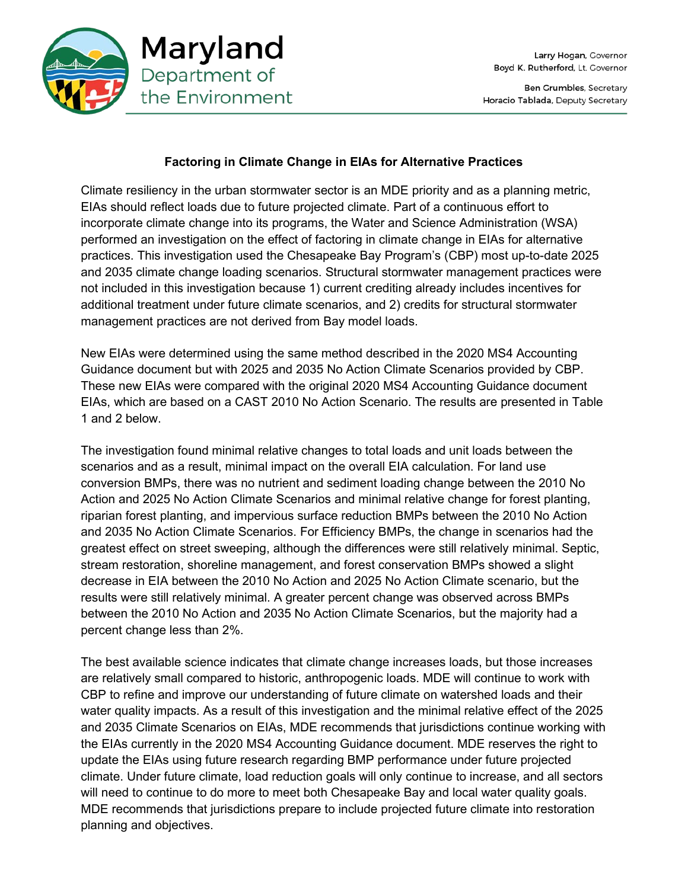

## **Factoring in Climate Change in EIAs for Alternative Practices**

Climate resiliency in the urban stormwater sector is an MDE priority and as a planning metric, EIAs should reflect loads due to future projected climate. Part of a continuous effort to incorporate climate change into its programs, the Water and Science Administration (WSA) performed an investigation on the effect of factoring in climate change in EIAs for alternative practices. This investigation used the Chesapeake Bay Program's (CBP) most up-to-date 2025 and 2035 climate change loading scenarios. Structural stormwater management practices were not included in this investigation because 1) current crediting already includes incentives for additional treatment under future climate scenarios, and 2) credits for structural stormwater management practices are not derived from Bay model loads.

New EIAs were determined using the same method described in the 2020 MS4 Accounting Guidance document but with 2025 and 2035 No Action Climate Scenarios provided by CBP. These new EIAs were compared with the original 2020 MS4 Accounting Guidance document EIAs, which are based on a CAST 2010 No Action Scenario. The results are presented in Table 1 and 2 below.

The investigation found minimal relative changes to total loads and unit loads between the scenarios and as a result, minimal impact on the overall EIA calculation. For land use conversion BMPs, there was no nutrient and sediment loading change between the 2010 No Action and 2025 No Action Climate Scenarios and minimal relative change for forest planting, riparian forest planting, and impervious surface reduction BMPs between the 2010 No Action and 2035 No Action Climate Scenarios. For Efficiency BMPs, the change in scenarios had the greatest effect on street sweeping, although the differences were still relatively minimal. Septic, stream restoration, shoreline management, and forest conservation BMPs showed a slight decrease in EIA between the 2010 No Action and 2025 No Action Climate scenario, but the results were still relatively minimal. A greater percent change was observed across BMPs between the 2010 No Action and 2035 No Action Climate Scenarios, but the majority had a percent change less than 2%.

The best available science indicates that climate change increases loads, but those increases are relatively small compared to historic, anthropogenic loads. MDE will continue to work with CBP to refine and improve our understanding of future climate on watershed loads and their water quality impacts. As a result of this investigation and the minimal relative effect of the 2025 and 2035 Climate Scenarios on EIAs, MDE recommends that jurisdictions continue working with the EIAs currently in the 2020 MS4 Accounting Guidance document. MDE reserves the right to update the EIAs using future research regarding BMP performance under future projected climate. Under future climate, load reduction goals will only continue to increase, and all sectors will need to continue to do more to meet both Chesapeake Bay and local water quality goals. MDE recommends that jurisdictions prepare to include projected future climate into restoration planning and objectives.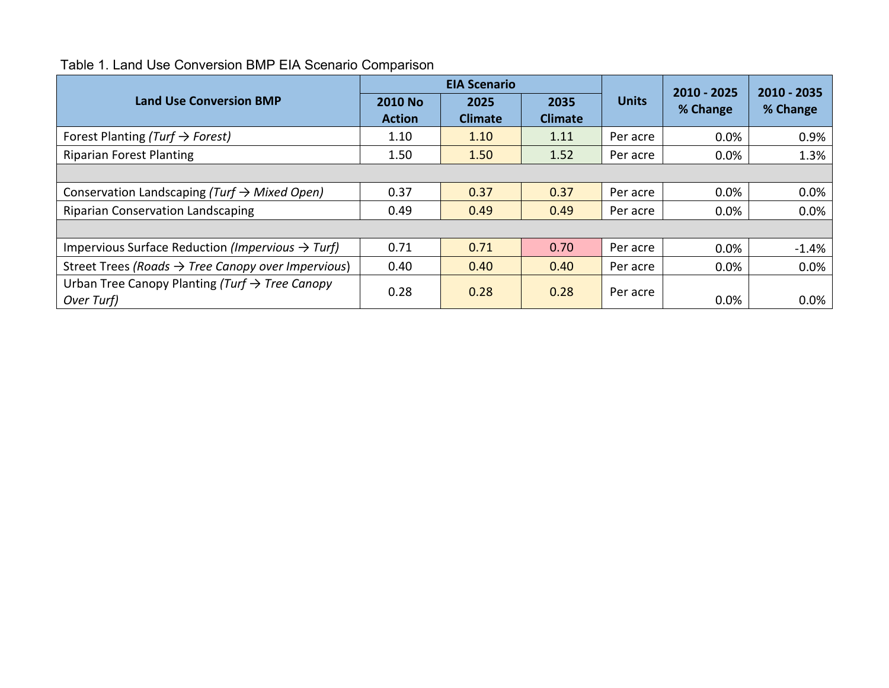## Table 1. Land Use Conversion BMP EIA Scenario Comparison

|                                                                          |                                 | <b>EIA Scenario</b>    |                        |              | 2010 - 2025 | 2010 - 2035 |  |  |  |  |
|--------------------------------------------------------------------------|---------------------------------|------------------------|------------------------|--------------|-------------|-------------|--|--|--|--|
| <b>Land Use Conversion BMP</b>                                           | <b>2010 No</b><br><b>Action</b> | 2025<br><b>Climate</b> | 2035<br><b>Climate</b> | <b>Units</b> | % Change    | % Change    |  |  |  |  |
| Forest Planting (Turf $\rightarrow$ Forest)                              | 1.10                            | 1.10                   | 1.11                   | Per acre     | 0.0%        | 0.9%        |  |  |  |  |
| <b>Riparian Forest Planting</b>                                          | 1.50                            | 1.50                   | 1.52                   | Per acre     | 0.0%        | 1.3%        |  |  |  |  |
|                                                                          |                                 |                        |                        |              |             |             |  |  |  |  |
| Conservation Landscaping (Turf $\rightarrow$ Mixed Open)                 | 0.37                            | 0.37                   | 0.37                   | Per acre     | 0.0%        | $0.0\%$     |  |  |  |  |
| <b>Riparian Conservation Landscaping</b>                                 | 0.49                            | 0.49                   | 0.49                   | Per acre     | $0.0\%$     | 0.0%        |  |  |  |  |
|                                                                          |                                 |                        |                        |              |             |             |  |  |  |  |
| Impervious Surface Reduction (Impervious $\rightarrow$ Turf)             | 0.71                            | 0.71                   | 0.70                   | Per acre     | 0.0%        | $-1.4%$     |  |  |  |  |
| Street Trees (Roads $\rightarrow$ Tree Canopy over Impervious)           | 0.40                            | 0.40                   | 0.40                   | Per acre     | 0.0%        | 0.0%        |  |  |  |  |
| Urban Tree Canopy Planting (Turf $\rightarrow$ Tree Canopy<br>Over Turf) | 0.28                            | 0.28                   | 0.28                   | Per acre     | 0.0%        | 0.0%        |  |  |  |  |